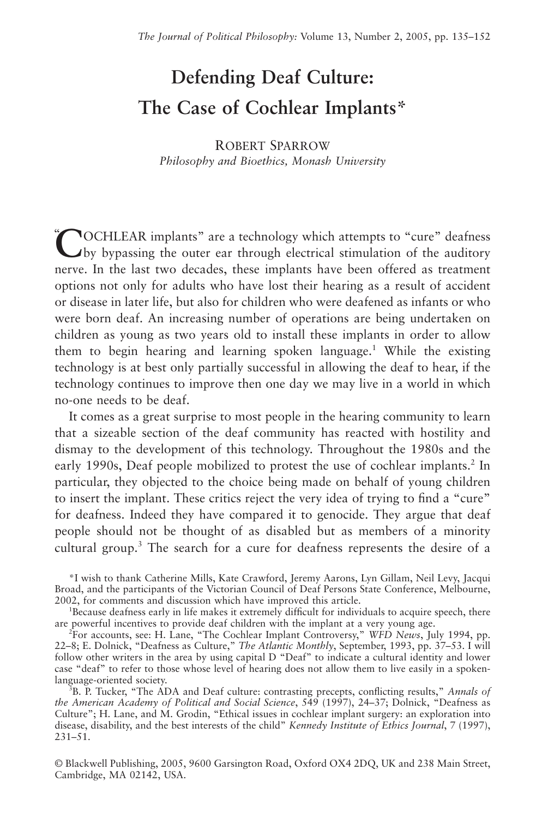# **Defending Deaf Culture: The Case of Cochlear Implants\***

ROBERT SPARROW *Philosophy and Bioethics, Monash University*

**C**OCHLEAR implants" are a technology which attempts to "cure" deafness by bypassing the outer ear through electrical stimulation of the auditory nerve. In the last two decades, these implants have been offered as treatment options not only for adults who have lost their hearing as a result of accident or disease in later life, but also for children who were deafened as infants or who were born deaf. An increasing number of operations are being undertaken on children as young as two years old to install these implants in order to allow them to begin hearing and learning spoken language.<sup>1</sup> While the existing technology is at best only partially successful in allowing the deaf to hear, if the technology continues to improve then one day we may live in a world in which no-one needs to be deaf. "

It comes as a great surprise to most people in the hearing community to learn that a sizeable section of the deaf community has reacted with hostility and dismay to the development of this technology. Throughout the 1980s and the early 1990s, Deaf people mobilized to protest the use of cochlear implants.<sup>2</sup> In particular, they objected to the choice being made on behalf of young children to insert the implant. These critics reject the very idea of trying to find a "cure" for deafness. Indeed they have compared it to genocide. They argue that deaf people should not be thought of as disabled but as members of a minority cultural group.<sup>3</sup> The search for a cure for deafness represents the desire of a

\*I wish to thank Catherine Mills, Kate Crawford, Jeremy Aarons, Lyn Gillam, Neil Levy, Jacqui Broad, and the participants of the Victorian Council of Deaf Persons State Conference, Melbourne, 2002, for comments and discussion which have improved this article.

1 Because deafness early in life makes it extremely difficult for individuals to acquire speech, there are powerful incentives to provide deaf children with the implant at a very young age.

2 For accounts, see: H. Lane, "The Cochlear Implant Controversy," *WFD News*, July 1994, pp. 22–8; E. Dolnick, "Deafness as Culture," *The Atlantic Monthly*, September, 1993, pp. 37–53. I will follow other writers in the area by using capital D "Deaf" to indicate a cultural identity and lower case "deaf" to refer to those whose level of hearing does not allow them to live easily in a spokenlanguage-oriented society.

3 B. P. Tucker, "The ADA and Deaf culture: contrasting precepts, conflicting results," *Annals of the American Academy of Political and Social Science*, 549 (1997), 24–37; Dolnick, "Deafness as Culture"; H. Lane, and M. Grodin, "Ethical issues in cochlear implant surgery: an exploration into disease, disability, and the best interests of the child" *Kennedy Institute of Ethics Journal*, 7 (1997), 231–51.

© Blackwell Publishing, 2005, 9600 Garsington Road, Oxford OX4 2DQ, UK and 238 Main Street, Cambridge, MA 02142, USA.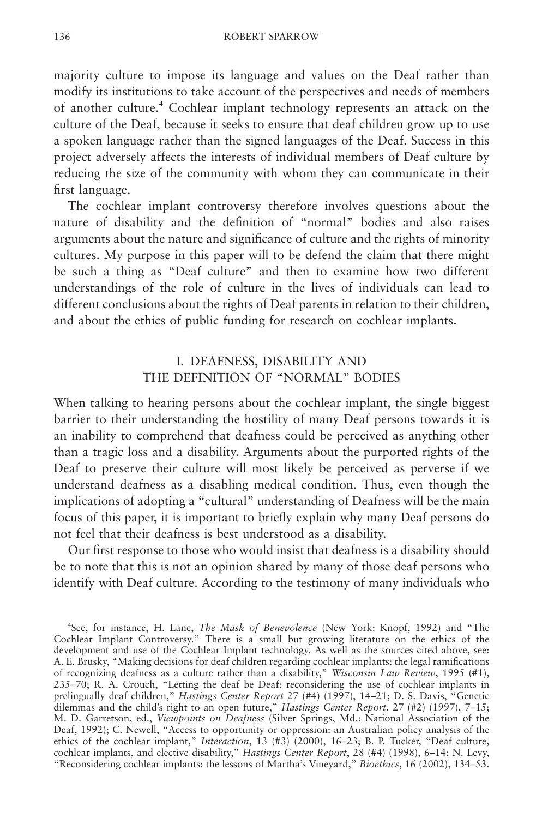majority culture to impose its language and values on the Deaf rather than modify its institutions to take account of the perspectives and needs of members of another culture.4 Cochlear implant technology represents an attack on the culture of the Deaf, because it seeks to ensure that deaf children grow up to use a spoken language rather than the signed languages of the Deaf. Success in this project adversely affects the interests of individual members of Deaf culture by reducing the size of the community with whom they can communicate in their first language.

The cochlear implant controversy therefore involves questions about the nature of disability and the definition of "normal" bodies and also raises arguments about the nature and significance of culture and the rights of minority cultures. My purpose in this paper will to be defend the claim that there might be such a thing as "Deaf culture" and then to examine how two different understandings of the role of culture in the lives of individuals can lead to different conclusions about the rights of Deaf parents in relation to their children, and about the ethics of public funding for research on cochlear implants.

## I. DEAFNESS, DISABILITY AND THE DEFINITION OF "NORMAL" BODIES

When talking to hearing persons about the cochlear implant, the single biggest barrier to their understanding the hostility of many Deaf persons towards it is an inability to comprehend that deafness could be perceived as anything other than a tragic loss and a disability. Arguments about the purported rights of the Deaf to preserve their culture will most likely be perceived as perverse if we understand deafness as a disabling medical condition. Thus, even though the implications of adopting a "cultural" understanding of Deafness will be the main focus of this paper, it is important to briefly explain why many Deaf persons do not feel that their deafness is best understood as a disability.

Our first response to those who would insist that deafness is a disability should be to note that this is not an opinion shared by many of those deaf persons who identify with Deaf culture. According to the testimony of many individuals who

4 See, for instance, H. Lane, *The Mask of Benevolence* (New York: Knopf, 1992) and "The Cochlear Implant Controversy." There is a small but growing literature on the ethics of the development and use of the Cochlear Implant technology. As well as the sources cited above, see: A. E. Brusky, "Making decisions for deaf children regarding cochlear implants: the legal ramifications of recognizing deafness as a culture rather than a disability," *Wisconsin Law Review*, 1995 (#1), 235–70; R. A. Crouch, "Letting the deaf be Deaf: reconsidering the use of cochlear implants in prelingually deaf children," *Hastings Center Report* 27 (#4) (1997), 14–21; D. S. Davis, "Genetic dilemmas and the child's right to an open future," *Hastings Center Report*, 27 (#2) (1997), 7–15; M. D. Garretson, ed., *Viewpoints on Deafness* (Silver Springs, Md.: National Association of the Deaf, 1992); C. Newell, "Access to opportunity or oppression: an Australian policy analysis of the ethics of the cochlear implant," *Interaction*, 13 (#3) (2000), 16–23; B. P. Tucker, "Deaf culture, cochlear implants, and elective disability," *Hastings Center Report*, 28 (#4) (1998), 6–14; N. Levy, "Reconsidering cochlear implants: the lessons of Martha's Vineyard," *Bioethics*, 16 (2002), 134–53.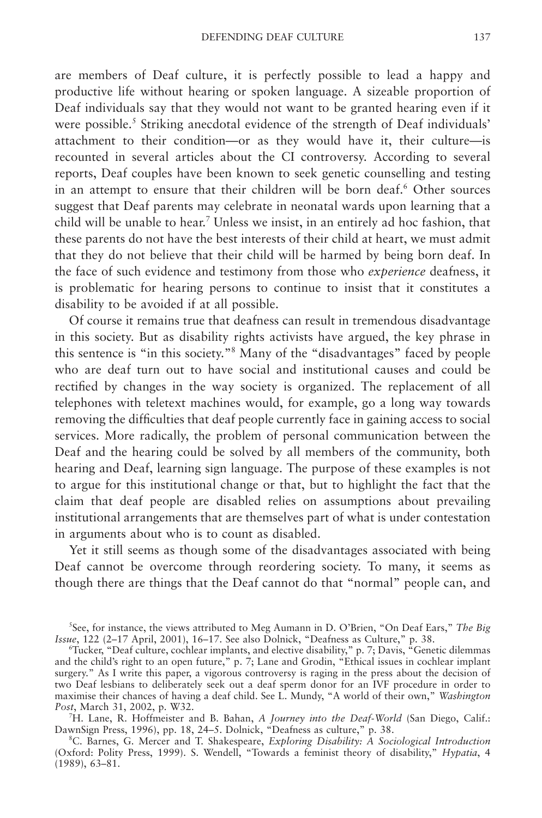are members of Deaf culture, it is perfectly possible to lead a happy and productive life without hearing or spoken language. A sizeable proportion of Deaf individuals say that they would not want to be granted hearing even if it were possible.<sup>5</sup> Striking anecdotal evidence of the strength of Deaf individuals' attachment to their condition—or as they would have it, their culture—is recounted in several articles about the CI controversy. According to several reports, Deaf couples have been known to seek genetic counselling and testing in an attempt to ensure that their children will be born deaf.<sup>6</sup> Other sources suggest that Deaf parents may celebrate in neonatal wards upon learning that a child will be unable to hear.<sup>7</sup> Unless we insist, in an entirely ad hoc fashion, that these parents do not have the best interests of their child at heart, we must admit that they do not believe that their child will be harmed by being born deaf. In the face of such evidence and testimony from those who *experience* deafness, it is problematic for hearing persons to continue to insist that it constitutes a disability to be avoided if at all possible.

Of course it remains true that deafness can result in tremendous disadvantage in this society. But as disability rights activists have argued, the key phrase in this sentence is "in this society."8 Many of the "disadvantages" faced by people who are deaf turn out to have social and institutional causes and could be rectified by changes in the way society is organized. The replacement of all telephones with teletext machines would, for example, go a long way towards removing the difficulties that deaf people currently face in gaining access to social services. More radically, the problem of personal communication between the Deaf and the hearing could be solved by all members of the community, both hearing and Deaf, learning sign language. The purpose of these examples is not to argue for this institutional change or that, but to highlight the fact that the claim that deaf people are disabled relies on assumptions about prevailing institutional arrangements that are themselves part of what is under contestation in arguments about who is to count as disabled.

Yet it still seems as though some of the disadvantages associated with being Deaf cannot be overcome through reordering society. To many, it seems as though there are things that the Deaf cannot do that "normal" people can, and

<sup>5</sup> See, for instance, the views attributed to Meg Aumann in D. O'Brien, "On Deaf Ears," *The Big Issue*, 122 (2–17 April, 2001), 16–17. See also Dolnick, "Deafness as Culture," p. 38. 6 Tucker, "Deaf culture, cochlear implants, and elective disability," p. 7; Davis, "Genetic dilemmas

and the child's right to an open future," p. 7; Lane and Grodin, "Ethical issues in cochlear implant surgery." As I write this paper, a vigorous controversy is raging in the press about the decision of two Deaf lesbians to deliberately seek out a deaf sperm donor for an IVF procedure in order to maximise their chances of having a deaf child. See L. Mundy, "A world of their own," *Washington Post*, March 31, 2002, p. W32.

<sup>7</sup> H. Lane, R. Hoffmeister and B. Bahan, *A Journey into the Deaf-World* (San Diego, Calif.: DawnSign Press, 1996), pp. 18, 24–5. Dolnick, "Deafness as culture," p. 38.<br><sup>8</sup>C. Barnes, G. Mercer and T. Shakespeare, *Exploring Disability: A Sociological Introduction* 

<sup>(</sup>Oxford: Polity Press, 1999). S. Wendell, "Towards a feminist theory of disability," *Hypatia*, 4 (1989), 63–81.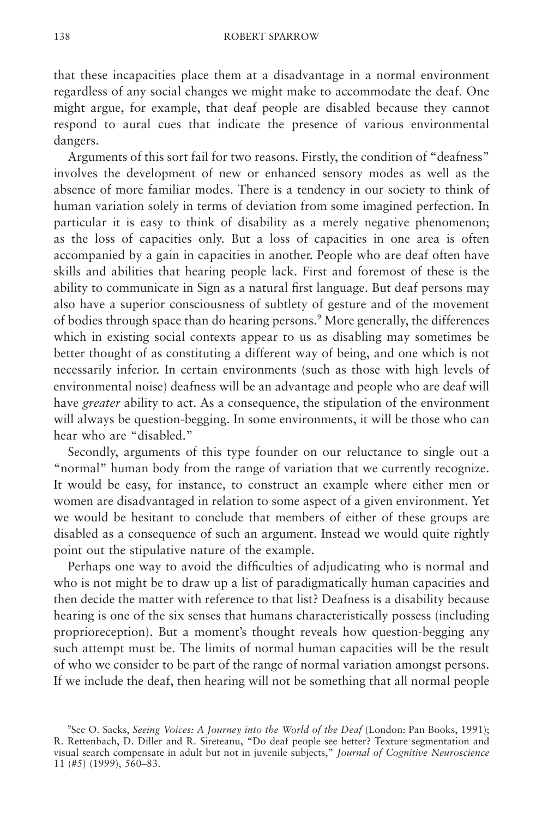that these incapacities place them at a disadvantage in a normal environment regardless of any social changes we might make to accommodate the deaf. One might argue, for example, that deaf people are disabled because they cannot respond to aural cues that indicate the presence of various environmental dangers.

Arguments of this sort fail for two reasons. Firstly, the condition of "deafness" involves the development of new or enhanced sensory modes as well as the absence of more familiar modes. There is a tendency in our society to think of human variation solely in terms of deviation from some imagined perfection. In particular it is easy to think of disability as a merely negative phenomenon; as the loss of capacities only. But a loss of capacities in one area is often accompanied by a gain in capacities in another. People who are deaf often have skills and abilities that hearing people lack. First and foremost of these is the ability to communicate in Sign as a natural first language. But deaf persons may also have a superior consciousness of subtlety of gesture and of the movement of bodies through space than do hearing persons.9 More generally, the differences which in existing social contexts appear to us as disabling may sometimes be better thought of as constituting a different way of being, and one which is not necessarily inferior. In certain environments (such as those with high levels of environmental noise) deafness will be an advantage and people who are deaf will have *greater* ability to act. As a consequence, the stipulation of the environment will always be question-begging. In some environments, it will be those who can hear who are "disabled."

Secondly, arguments of this type founder on our reluctance to single out a "normal" human body from the range of variation that we currently recognize. It would be easy, for instance, to construct an example where either men or women are disadvantaged in relation to some aspect of a given environment. Yet we would be hesitant to conclude that members of either of these groups are disabled as a consequence of such an argument. Instead we would quite rightly point out the stipulative nature of the example.

Perhaps one way to avoid the difficulties of adjudicating who is normal and who is not might be to draw up a list of paradigmatically human capacities and then decide the matter with reference to that list? Deafness is a disability because hearing is one of the six senses that humans characteristically possess (including proprioreception). But a moment's thought reveals how question-begging any such attempt must be. The limits of normal human capacities will be the result of who we consider to be part of the range of normal variation amongst persons. If we include the deaf, then hearing will not be something that all normal people

<sup>9</sup> See O. Sacks, *Seeing Voices: A Journey into the World of the Deaf* (London: Pan Books, 1991); R. Rettenbach, D. Diller and R. Sireteanu, "Do deaf people see better? Texture segmentation and visual search compensate in adult but not in juvenile subjects," *Journal of Cognitive Neuroscience* 11 (#5) (1999),  $560-83$ .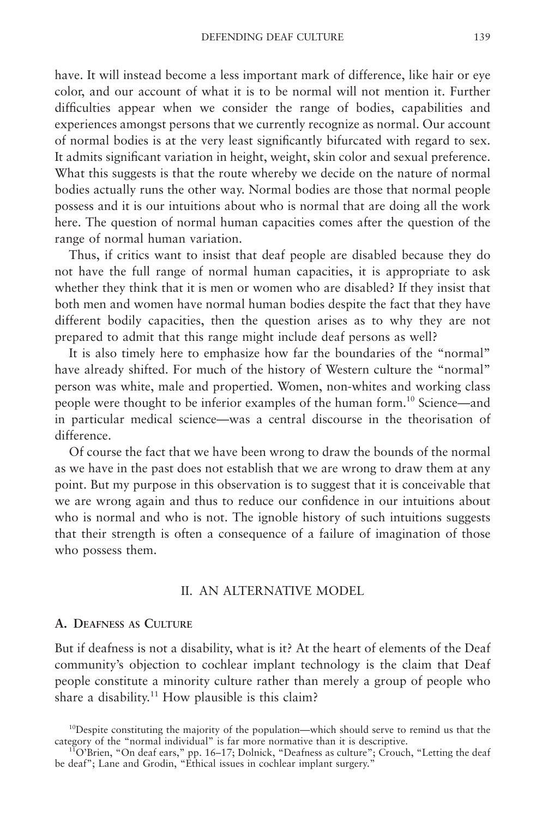have. It will instead become a less important mark of difference, like hair or eye color, and our account of what it is to be normal will not mention it. Further difficulties appear when we consider the range of bodies, capabilities and experiences amongst persons that we currently recognize as normal. Our account of normal bodies is at the very least significantly bifurcated with regard to sex. It admits significant variation in height, weight, skin color and sexual preference. What this suggests is that the route whereby we decide on the nature of normal bodies actually runs the other way. Normal bodies are those that normal people possess and it is our intuitions about who is normal that are doing all the work here. The question of normal human capacities comes after the question of the range of normal human variation.

Thus, if critics want to insist that deaf people are disabled because they do not have the full range of normal human capacities, it is appropriate to ask whether they think that it is men or women who are disabled? If they insist that both men and women have normal human bodies despite the fact that they have different bodily capacities, then the question arises as to why they are not prepared to admit that this range might include deaf persons as well?

It is also timely here to emphasize how far the boundaries of the "normal" have already shifted. For much of the history of Western culture the "normal" person was white, male and propertied. Women, non-whites and working class people were thought to be inferior examples of the human form.10 Science—and in particular medical science—was a central discourse in the theorisation of difference.

Of course the fact that we have been wrong to draw the bounds of the normal as we have in the past does not establish that we are wrong to draw them at any point. But my purpose in this observation is to suggest that it is conceivable that we are wrong again and thus to reduce our confidence in our intuitions about who is normal and who is not. The ignoble history of such intuitions suggests that their strength is often a consequence of a failure of imagination of those who possess them.

### II. AN ALTERNATIVE MODEL

#### **A. DEAFNESS AS CULTURE**

But if deafness is not a disability, what is it? At the heart of elements of the Deaf community's objection to cochlear implant technology is the claim that Deaf people constitute a minority culture rather than merely a group of people who share a disability.<sup>11</sup> How plausible is this claim?

 $10D$ espite constituting the majority of the population—which should serve to remind us that the category of the "normal individual" is far more normative than it is descriptive.

<sup>11</sup>O'Brien, "On deaf ears," pp. 16–17; Dolnick, "Deafness as culture"; Crouch, "Letting the deaf be deaf"; Lane and Grodin, "Ethical issues in cochlear implant surgery."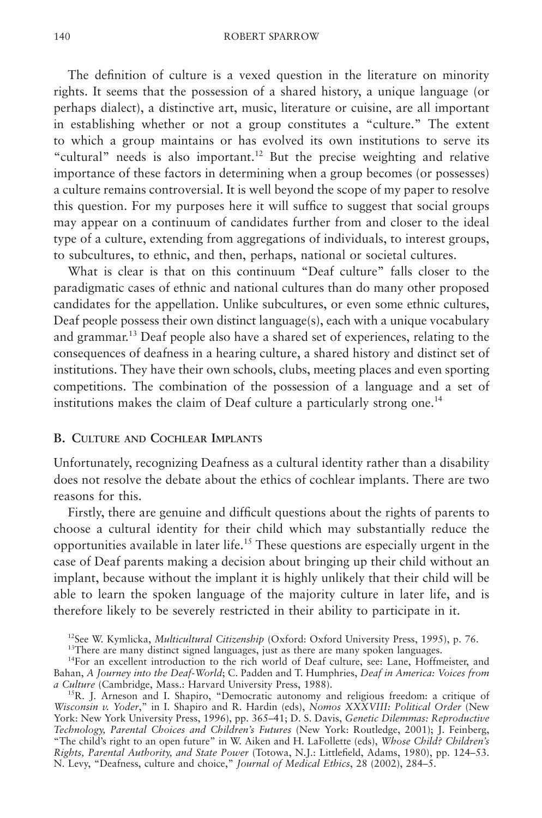The definition of culture is a vexed question in the literature on minority rights. It seems that the possession of a shared history, a unique language (or perhaps dialect), a distinctive art, music, literature or cuisine, are all important in establishing whether or not a group constitutes a "culture." The extent to which a group maintains or has evolved its own institutions to serve its "cultural" needs is also important.<sup>12</sup> But the precise weighting and relative importance of these factors in determining when a group becomes (or possesses) a culture remains controversial. It is well beyond the scope of my paper to resolve this question. For my purposes here it will suffice to suggest that social groups may appear on a continuum of candidates further from and closer to the ideal type of a culture, extending from aggregations of individuals, to interest groups, to subcultures, to ethnic, and then, perhaps, national or societal cultures.

What is clear is that on this continuum "Deaf culture" falls closer to the paradigmatic cases of ethnic and national cultures than do many other proposed candidates for the appellation. Unlike subcultures, or even some ethnic cultures, Deaf people possess their own distinct language(s), each with a unique vocabulary and grammar.13 Deaf people also have a shared set of experiences, relating to the consequences of deafness in a hearing culture, a shared history and distinct set of institutions. They have their own schools, clubs, meeting places and even sporting competitions. The combination of the possession of a language and a set of institutions makes the claim of Deaf culture a particularly strong one.<sup>14</sup>

#### **B. CULTURE AND COCHLEAR IMPLANTS**

Unfortunately, recognizing Deafness as a cultural identity rather than a disability does not resolve the debate about the ethics of cochlear implants. There are two reasons for this.

Firstly, there are genuine and difficult questions about the rights of parents to choose a cultural identity for their child which may substantially reduce the opportunities available in later life.15 These questions are especially urgent in the case of Deaf parents making a decision about bringing up their child without an implant, because without the implant it is highly unlikely that their child will be able to learn the spoken language of the majority culture in later life, and is therefore likely to be severely restricted in their ability to participate in it.

12See W. Kymlicka, *Multicultural Citizenship* (Oxford: Oxford University Press, 1995), p. 76.

<sup>13</sup>There are many distinct signed languages, just as there are many spoken languages.

<sup>14</sup>For an excellent introduction to the rich world of Deaf culture, see: Lane, Hoffmeister, and Bahan, *A Journey into the Deaf-World*; C. Padden and T. Humphries, *Deaf in America: Voices from a Culture* (Cambridge, Mass.: Harvard University Press, 1988).

15R. J. Arneson and I. Shapiro, "Democratic autonomy and religious freedom: a critique of *Wisconsin v. Yoder*," in I. Shapiro and R. Hardin (eds), *Nomos XXXVIII: Political Order* (New York: New York University Press, 1996), pp. 365–41; D. S. Davis, *Genetic Dilemmas: Reproductive Technology, Parental Choices and Children's Futures* (New York: Routledge, 2001); J. Feinberg, "The child's right to an open future" in W. Aiken and H. LaFollette (eds), *Whose Child? Children's Rights, Parental Authority, and State Power* (Totowa, N.J.: Littlefield, Adams, 1980), pp. 124–53. N. Levy, "Deafness, culture and choice," *Journal of Medical Ethics*, 28 (2002), 284–5.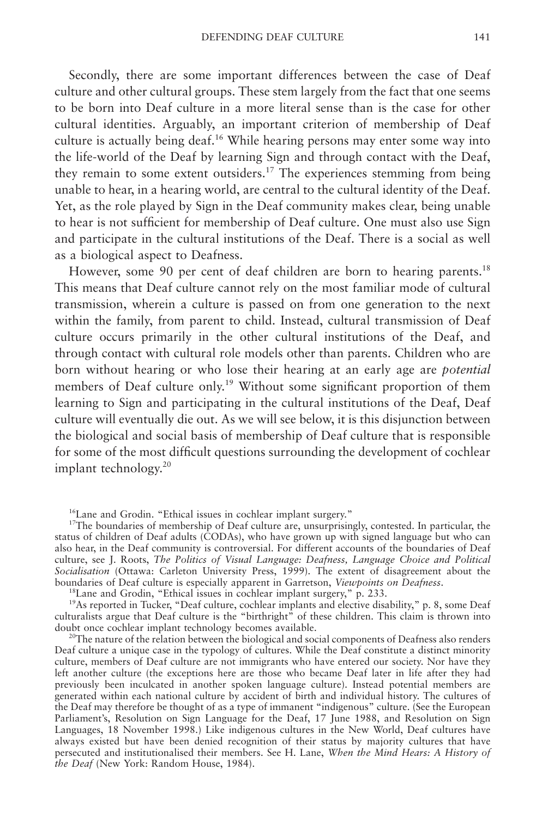Secondly, there are some important differences between the case of Deaf culture and other cultural groups. These stem largely from the fact that one seems to be born into Deaf culture in a more literal sense than is the case for other cultural identities. Arguably, an important criterion of membership of Deaf culture is actually being deaf.16 While hearing persons may enter some way into the life-world of the Deaf by learning Sign and through contact with the Deaf, they remain to some extent outsiders.17 The experiences stemming from being unable to hear, in a hearing world, are central to the cultural identity of the Deaf. Yet, as the role played by Sign in the Deaf community makes clear, being unable to hear is not sufficient for membership of Deaf culture. One must also use Sign and participate in the cultural institutions of the Deaf. There is a social as well as a biological aspect to Deafness.

However, some 90 per cent of deaf children are born to hearing parents.<sup>18</sup> This means that Deaf culture cannot rely on the most familiar mode of cultural transmission, wherein a culture is passed on from one generation to the next within the family, from parent to child. Instead, cultural transmission of Deaf culture occurs primarily in the other cultural institutions of the Deaf, and through contact with cultural role models other than parents. Children who are born without hearing or who lose their hearing at an early age are *potential* members of Deaf culture only.<sup>19</sup> Without some significant proportion of them learning to Sign and participating in the cultural institutions of the Deaf, Deaf culture will eventually die out. As we will see below, it is this disjunction between the biological and social basis of membership of Deaf culture that is responsible for some of the most difficult questions surrounding the development of cochlear implant technology.20

<sup>18</sup>Lane and Grodin, "Ethical issues in cochlear implant surgery," p. 233.

<sup>19</sup>As reported in Tucker, "Deaf culture, cochlear implants and elective disability," p. 8, some Deaf culturalists argue that Deaf culture is the "birthright" of these children. This claim is thrown into doubt once cochlear implant technology becomes available.

 $20$ The nature of the relation between the biological and social components of Deafness also renders Deaf culture a unique case in the typology of cultures. While the Deaf constitute a distinct minority culture, members of Deaf culture are not immigrants who have entered our society. Nor have they left another culture (the exceptions here are those who became Deaf later in life after they had previously been inculcated in another spoken language culture). Instead potential members are generated within each national culture by accident of birth and individual history. The cultures of the Deaf may therefore be thought of as a type of immanent "indigenous" culture. (See the European Parliament's, Resolution on Sign Language for the Deaf, 17 June 1988, and Resolution on Sign Languages, 18 November 1998.) Like indigenous cultures in the New World, Deaf cultures have always existed but have been denied recognition of their status by majority cultures that have persecuted and institutionalised their members. See H. Lane, *When the Mind Hears: A History of the Deaf* (New York: Random House, 1984).

<sup>16</sup>Lane and Grodin. "Ethical issues in cochlear implant surgery."

<sup>&</sup>lt;sup>17</sup>The boundaries of membership of Deaf culture are, unsurprisingly, contested. In particular, the status of children of Deaf adults (CODAs), who have grown up with signed language but who can also hear, in the Deaf community is controversial. For different accounts of the boundaries of Deaf culture, see J. Roots, *The Politics of Visual Language: Deafness, Language Choice and Political Socialisation* (Ottawa: Carleton University Press, 1999). The extent of disagreement about the boundaries of Deaf culture is especially apparent in Garretson, *Viewpoints on Deafness*.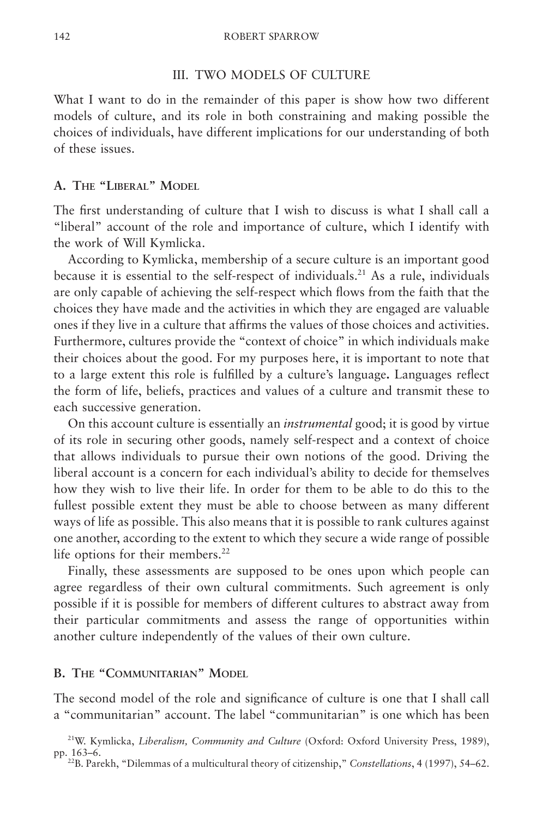#### III. TWO MODELS OF CULTURE

What I want to do in the remainder of this paper is show how two different models of culture, and its role in both constraining and making possible the choices of individuals, have different implications for our understanding of both of these issues.

#### **A. THE "LIBERAL" MODEL**

The first understanding of culture that I wish to discuss is what I shall call a "liberal" account of the role and importance of culture, which I identify with the work of Will Kymlicka.

According to Kymlicka, membership of a secure culture is an important good because it is essential to the self-respect of individuals.<sup>21</sup> As a rule, individuals are only capable of achieving the self-respect which flows from the faith that the choices they have made and the activities in which they are engaged are valuable ones if they live in a culture that affirms the values of those choices and activities. Furthermore, cultures provide the "context of choice" in which individuals make their choices about the good. For my purposes here, it is important to note that to a large extent this role is fulfilled by a culture's language**.** Languages reflect the form of life, beliefs, practices and values of a culture and transmit these to each successive generation.

On this account culture is essentially an *instrumental* good; it is good by virtue of its role in securing other goods, namely self-respect and a context of choice that allows individuals to pursue their own notions of the good. Driving the liberal account is a concern for each individual's ability to decide for themselves how they wish to live their life. In order for them to be able to do this to the fullest possible extent they must be able to choose between as many different ways of life as possible. This also means that it is possible to rank cultures against one another, according to the extent to which they secure a wide range of possible life options for their members.<sup>22</sup>

Finally, these assessments are supposed to be ones upon which people can agree regardless of their own cultural commitments. Such agreement is only possible if it is possible for members of different cultures to abstract away from their particular commitments and assess the range of opportunities within another culture independently of the values of their own culture.

#### **B. THE "COMMUNITARIAN" MODEL**

The second model of the role and significance of culture is one that I shall call a "communitarian" account. The label "communitarian" is one which has been

<sup>21</sup>W. Kymlicka, *Liberalism, Community and Culture* (Oxford: Oxford University Press, 1989), pp. 163–6.

<sup>22</sup>B. Parekh, "Dilemmas of a multicultural theory of citizenship," *Constellations*, 4 (1997), 54–62.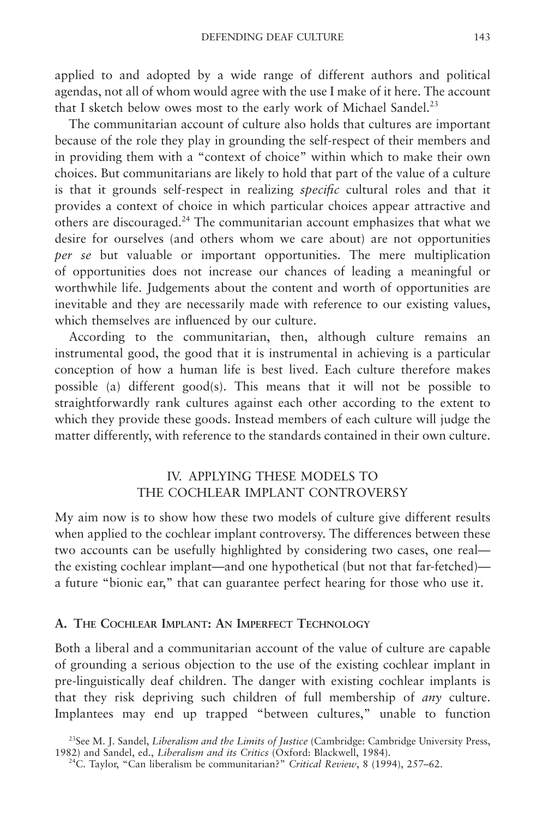applied to and adopted by a wide range of different authors and political agendas, not all of whom would agree with the use I make of it here. The account that I sketch below owes most to the early work of Michael Sandel.<sup>23</sup>

The communitarian account of culture also holds that cultures are important because of the role they play in grounding the self-respect of their members and in providing them with a "context of choice" within which to make their own choices. But communitarians are likely to hold that part of the value of a culture is that it grounds self-respect in realizing *specific* cultural roles and that it provides a context of choice in which particular choices appear attractive and others are discouraged.<sup>24</sup> The communitarian account emphasizes that what we desire for ourselves (and others whom we care about) are not opportunities *per se* but valuable or important opportunities. The mere multiplication of opportunities does not increase our chances of leading a meaningful or worthwhile life. Judgements about the content and worth of opportunities are inevitable and they are necessarily made with reference to our existing values, which themselves are influenced by our culture.

According to the communitarian, then, although culture remains an instrumental good, the good that it is instrumental in achieving is a particular conception of how a human life is best lived. Each culture therefore makes possible (a) different good(s). This means that it will not be possible to straightforwardly rank cultures against each other according to the extent to which they provide these goods. Instead members of each culture will judge the matter differently, with reference to the standards contained in their own culture.

## IV. APPLYING THESE MODELS TO THE COCHLEAR IMPLANT CONTROVERSY

My aim now is to show how these two models of culture give different results when applied to the cochlear implant controversy. The differences between these two accounts can be usefully highlighted by considering two cases, one real the existing cochlear implant—and one hypothetical (but not that far-fetched) a future "bionic ear," that can guarantee perfect hearing for those who use it.

#### **A. THE COCHLEAR IMPLANT: AN IMPERFECT TECHNOLOGY**

Both a liberal and a communitarian account of the value of culture are capable of grounding a serious objection to the use of the existing cochlear implant in pre-linguistically deaf children. The danger with existing cochlear implants is that they risk depriving such children of full membership of *any* culture. Implantees may end up trapped "between cultures," unable to function

<sup>23</sup>See M. J. Sandel, *Liberalism and the Limits of Justice* (Cambridge: Cambridge University Press, 1982) and Sandel, ed., *Liberalism and its Critics* (Oxford: Blackwell, 1984).

<sup>24</sup>C. Taylor, "Can liberalism be communitarian?" *Critical Review*, 8 (1994), 257–62.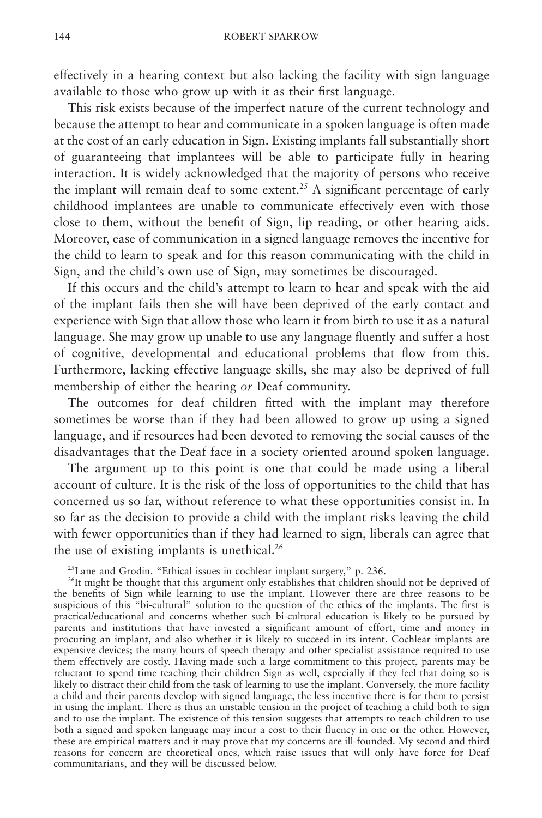effectively in a hearing context but also lacking the facility with sign language available to those who grow up with it as their first language.

This risk exists because of the imperfect nature of the current technology and because the attempt to hear and communicate in a spoken language is often made at the cost of an early education in Sign. Existing implants fall substantially short of guaranteeing that implantees will be able to participate fully in hearing interaction. It is widely acknowledged that the majority of persons who receive the implant will remain deaf to some extent.25 A significant percentage of early childhood implantees are unable to communicate effectively even with those close to them, without the benefit of Sign, lip reading, or other hearing aids. Moreover, ease of communication in a signed language removes the incentive for the child to learn to speak and for this reason communicating with the child in Sign, and the child's own use of Sign, may sometimes be discouraged.

If this occurs and the child's attempt to learn to hear and speak with the aid of the implant fails then she will have been deprived of the early contact and experience with Sign that allow those who learn it from birth to use it as a natural language. She may grow up unable to use any language fluently and suffer a host of cognitive, developmental and educational problems that flow from this. Furthermore, lacking effective language skills, she may also be deprived of full membership of either the hearing *or* Deaf community.

The outcomes for deaf children fitted with the implant may therefore sometimes be worse than if they had been allowed to grow up using a signed language, and if resources had been devoted to removing the social causes of the disadvantages that the Deaf face in a society oriented around spoken language.

The argument up to this point is one that could be made using a liberal account of culture. It is the risk of the loss of opportunities to the child that has concerned us so far, without reference to what these opportunities consist in. In so far as the decision to provide a child with the implant risks leaving the child with fewer opportunities than if they had learned to sign, liberals can agree that the use of existing implants is unethical.<sup>26</sup>

<sup>25</sup>Lane and Grodin. "Ethical issues in cochlear implant surgery," p. 236.

<sup>&</sup>lt;sup>26</sup>It might be thought that this argument only establishes that children should not be deprived of the benefits of Sign while learning to use the implant. However there are three reasons to be suspicious of this "bi-cultural" solution to the question of the ethics of the implants. The first is practical/educational and concerns whether such bi-cultural education is likely to be pursued by parents and institutions that have invested a significant amount of effort, time and money in procuring an implant, and also whether it is likely to succeed in its intent. Cochlear implants are expensive devices; the many hours of speech therapy and other specialist assistance required to use them effectively are costly. Having made such a large commitment to this project, parents may be reluctant to spend time teaching their children Sign as well, especially if they feel that doing so is likely to distract their child from the task of learning to use the implant. Conversely, the more facility a child and their parents develop with signed language, the less incentive there is for them to persist in using the implant. There is thus an unstable tension in the project of teaching a child both to sign and to use the implant. The existence of this tension suggests that attempts to teach children to use both a signed and spoken language may incur a cost to their fluency in one or the other. However, these are empirical matters and it may prove that my concerns are ill-founded. My second and third reasons for concern are theoretical ones, which raise issues that will only have force for Deaf communitarians, and they will be discussed below.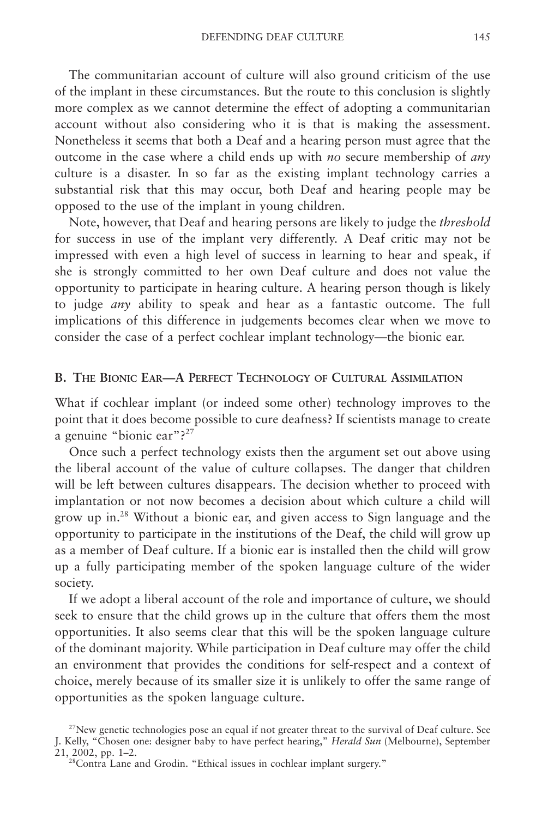The communitarian account of culture will also ground criticism of the use of the implant in these circumstances. But the route to this conclusion is slightly more complex as we cannot determine the effect of adopting a communitarian account without also considering who it is that is making the assessment. Nonetheless it seems that both a Deaf and a hearing person must agree that the outcome in the case where a child ends up with *no* secure membership of *any* culture is a disaster. In so far as the existing implant technology carries a substantial risk that this may occur, both Deaf and hearing people may be opposed to the use of the implant in young children.

Note, however, that Deaf and hearing persons are likely to judge the *threshold* for success in use of the implant very differently. A Deaf critic may not be impressed with even a high level of success in learning to hear and speak, if she is strongly committed to her own Deaf culture and does not value the opportunity to participate in hearing culture. A hearing person though is likely to judge *any* ability to speak and hear as a fantastic outcome. The full implications of this difference in judgements becomes clear when we move to consider the case of a perfect cochlear implant technology—the bionic ear.

#### **B. THE BIONIC EAR—A PERFECT TECHNOLOGY OF CULTURAL ASSIMILATION**

What if cochlear implant (or indeed some other) technology improves to the point that it does become possible to cure deafness? If scientists manage to create a genuine "bionic ear"?27

Once such a perfect technology exists then the argument set out above using the liberal account of the value of culture collapses. The danger that children will be left between cultures disappears. The decision whether to proceed with implantation or not now becomes a decision about which culture a child will grow up in.28 Without a bionic ear, and given access to Sign language and the opportunity to participate in the institutions of the Deaf, the child will grow up as a member of Deaf culture. If a bionic ear is installed then the child will grow up a fully participating member of the spoken language culture of the wider society.

If we adopt a liberal account of the role and importance of culture, we should seek to ensure that the child grows up in the culture that offers them the most opportunities. It also seems clear that this will be the spoken language culture of the dominant majority. While participation in Deaf culture may offer the child an environment that provides the conditions for self-respect and a context of choice, merely because of its smaller size it is unlikely to offer the same range of opportunities as the spoken language culture.

 $^{27}$ New genetic technologies pose an equal if not greater threat to the survival of Deaf culture. See J. Kelly, "Chosen one: designer baby to have perfect hearing," *Herald Sun* (Melbourne), September 21, 2002, pp. 1–2.

<sup>&</sup>lt;sup>28</sup>Contra Lane and Grodin. "Ethical issues in cochlear implant surgery."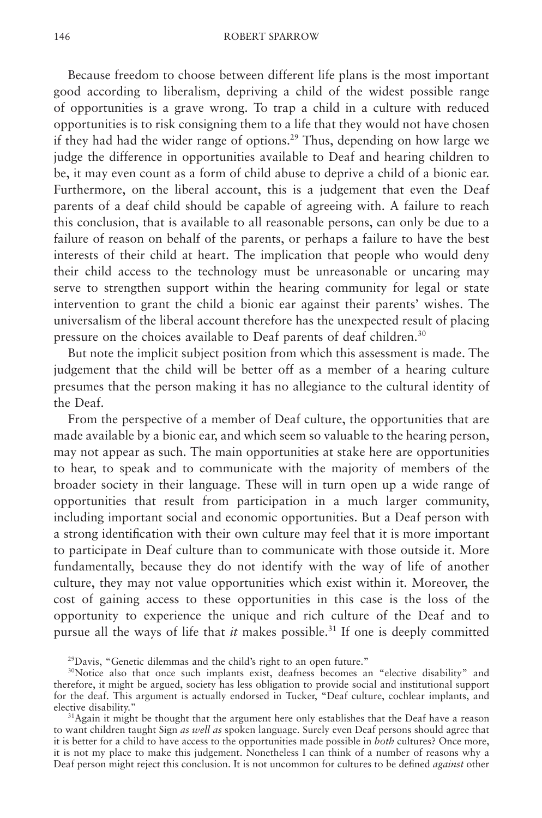Because freedom to choose between different life plans is the most important good according to liberalism, depriving a child of the widest possible range of opportunities is a grave wrong. To trap a child in a culture with reduced opportunities is to risk consigning them to a life that they would not have chosen if they had had the wider range of options.<sup>29</sup> Thus, depending on how large we judge the difference in opportunities available to Deaf and hearing children to be, it may even count as a form of child abuse to deprive a child of a bionic ear. Furthermore, on the liberal account, this is a judgement that even the Deaf parents of a deaf child should be capable of agreeing with. A failure to reach this conclusion, that is available to all reasonable persons, can only be due to a failure of reason on behalf of the parents, or perhaps a failure to have the best interests of their child at heart. The implication that people who would deny their child access to the technology must be unreasonable or uncaring may serve to strengthen support within the hearing community for legal or state intervention to grant the child a bionic ear against their parents' wishes. The universalism of the liberal account therefore has the unexpected result of placing pressure on the choices available to Deaf parents of deaf children.<sup>30</sup>

But note the implicit subject position from which this assessment is made. The judgement that the child will be better off as a member of a hearing culture presumes that the person making it has no allegiance to the cultural identity of the Deaf.

From the perspective of a member of Deaf culture, the opportunities that are made available by a bionic ear, and which seem so valuable to the hearing person, may not appear as such. The main opportunities at stake here are opportunities to hear, to speak and to communicate with the majority of members of the broader society in their language. These will in turn open up a wide range of opportunities that result from participation in a much larger community, including important social and economic opportunities. But a Deaf person with a strong identification with their own culture may feel that it is more important to participate in Deaf culture than to communicate with those outside it. More fundamentally, because they do not identify with the way of life of another culture, they may not value opportunities which exist within it. Moreover, the cost of gaining access to these opportunities in this case is the loss of the opportunity to experience the unique and rich culture of the Deaf and to pursue all the ways of life that *it* makes possible.<sup>31</sup> If one is deeply committed

<sup>&</sup>lt;sup>29</sup>Davis, "Genetic dilemmas and the child's right to an open future."

<sup>&</sup>lt;sup>30</sup>Notice also that once such implants exist, deafness becomes an "elective disability" and therefore, it might be argued, society has less obligation to provide social and institutional support for the deaf. This argument is actually endorsed in Tucker, "Deaf culture, cochlear implants, and elective disability."

<sup>&</sup>lt;sup>31</sup>Again it might be thought that the argument here only establishes that the Deaf have a reason to want children taught Sign *as well as* spoken language. Surely even Deaf persons should agree that it is better for a child to have access to the opportunities made possible in *both* cultures? Once more, it is not my place to make this judgement. Nonetheless I can think of a number of reasons why a Deaf person might reject this conclusion. It is not uncommon for cultures to be defined *against* other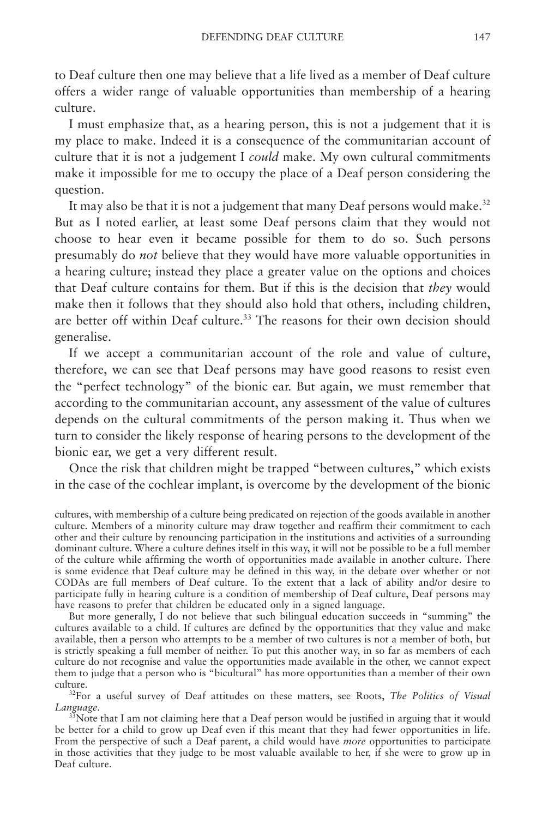to Deaf culture then one may believe that a life lived as a member of Deaf culture offers a wider range of valuable opportunities than membership of a hearing culture.

I must emphasize that, as a hearing person, this is not a judgement that it is my place to make. Indeed it is a consequence of the communitarian account of culture that it is not a judgement I *could* make. My own cultural commitments make it impossible for me to occupy the place of a Deaf person considering the question.

It may also be that it is not a judgement that many Deaf persons would make.<sup>32</sup> But as I noted earlier, at least some Deaf persons claim that they would not choose to hear even it became possible for them to do so. Such persons presumably do *not* believe that they would have more valuable opportunities in a hearing culture; instead they place a greater value on the options and choices that Deaf culture contains for them. But if this is the decision that *they* would make then it follows that they should also hold that others, including children, are better off within Deaf culture.<sup>33</sup> The reasons for their own decision should generalise.

If we accept a communitarian account of the role and value of culture, therefore, we can see that Deaf persons may have good reasons to resist even the "perfect technology" of the bionic ear. But again, we must remember that according to the communitarian account, any assessment of the value of cultures depends on the cultural commitments of the person making it. Thus when we turn to consider the likely response of hearing persons to the development of the bionic ear, we get a very different result.

Once the risk that children might be trapped "between cultures," which exists in the case of the cochlear implant, is overcome by the development of the bionic

But more generally, I do not believe that such bilingual education succeeds in "summing" the cultures available to a child. If cultures are defined by the opportunities that they value and make available, then a person who attempts to be a member of two cultures is not a member of both, but is strictly speaking a full member of neither. To put this another way, in so far as members of each culture do not recognise and value the opportunities made available in the other, we cannot expect them to judge that a person who is "bicultural" has more opportunities than a member of their own culture.

32For a useful survey of Deaf attitudes on these matters, see Roots, *The Politics of Visual Language*.

 $33$ Note that I am not claiming here that a Deaf person would be justified in arguing that it would be better for a child to grow up Deaf even if this meant that they had fewer opportunities in life. From the perspective of such a Deaf parent, a child would have *more* opportunities to participate in those activities that they judge to be most valuable available to her, if she were to grow up in Deaf culture.

cultures, with membership of a culture being predicated on rejection of the goods available in another culture. Members of a minority culture may draw together and reaffirm their commitment to each other and their culture by renouncing participation in the institutions and activities of a surrounding dominant culture. Where a culture defines itself in this way, it will not be possible to be a full member of the culture while affirming the worth of opportunities made available in another culture. There is some evidence that Deaf culture may be defined in this way, in the debate over whether or not CODAs are full members of Deaf culture. To the extent that a lack of ability and/or desire to participate fully in hearing culture is a condition of membership of Deaf culture, Deaf persons may have reasons to prefer that children be educated only in a signed language.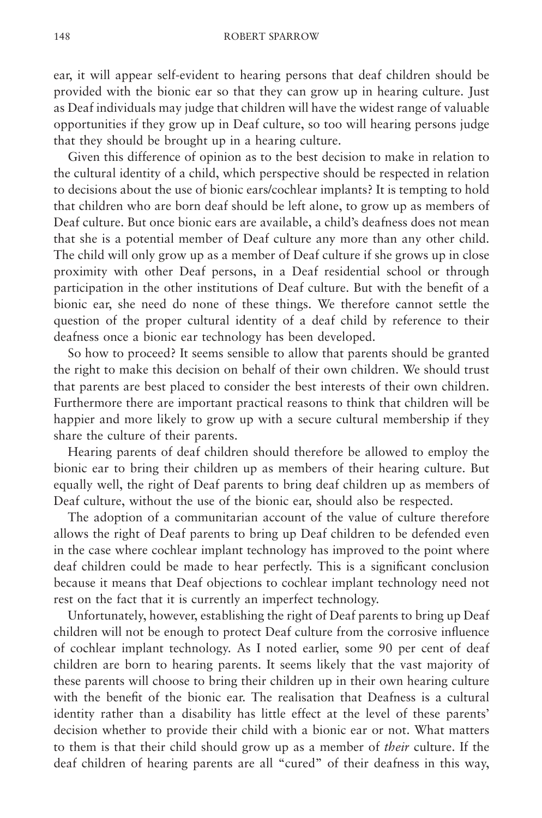ear, it will appear self-evident to hearing persons that deaf children should be provided with the bionic ear so that they can grow up in hearing culture. Just as Deaf individuals may judge that children will have the widest range of valuable opportunities if they grow up in Deaf culture, so too will hearing persons judge that they should be brought up in a hearing culture.

Given this difference of opinion as to the best decision to make in relation to the cultural identity of a child, which perspective should be respected in relation to decisions about the use of bionic ears/cochlear implants? It is tempting to hold that children who are born deaf should be left alone, to grow up as members of Deaf culture. But once bionic ears are available, a child's deafness does not mean that she is a potential member of Deaf culture any more than any other child. The child will only grow up as a member of Deaf culture if she grows up in close proximity with other Deaf persons, in a Deaf residential school or through participation in the other institutions of Deaf culture. But with the benefit of a bionic ear, she need do none of these things. We therefore cannot settle the question of the proper cultural identity of a deaf child by reference to their deafness once a bionic ear technology has been developed.

So how to proceed? It seems sensible to allow that parents should be granted the right to make this decision on behalf of their own children. We should trust that parents are best placed to consider the best interests of their own children. Furthermore there are important practical reasons to think that children will be happier and more likely to grow up with a secure cultural membership if they share the culture of their parents.

Hearing parents of deaf children should therefore be allowed to employ the bionic ear to bring their children up as members of their hearing culture. But equally well, the right of Deaf parents to bring deaf children up as members of Deaf culture, without the use of the bionic ear, should also be respected.

The adoption of a communitarian account of the value of culture therefore allows the right of Deaf parents to bring up Deaf children to be defended even in the case where cochlear implant technology has improved to the point where deaf children could be made to hear perfectly. This is a significant conclusion because it means that Deaf objections to cochlear implant technology need not rest on the fact that it is currently an imperfect technology.

Unfortunately, however, establishing the right of Deaf parents to bring up Deaf children will not be enough to protect Deaf culture from the corrosive influence of cochlear implant technology. As I noted earlier, some 90 per cent of deaf children are born to hearing parents. It seems likely that the vast majority of these parents will choose to bring their children up in their own hearing culture with the benefit of the bionic ear. The realisation that Deafness is a cultural identity rather than a disability has little effect at the level of these parents' decision whether to provide their child with a bionic ear or not. What matters to them is that their child should grow up as a member of *their* culture. If the deaf children of hearing parents are all "cured" of their deafness in this way,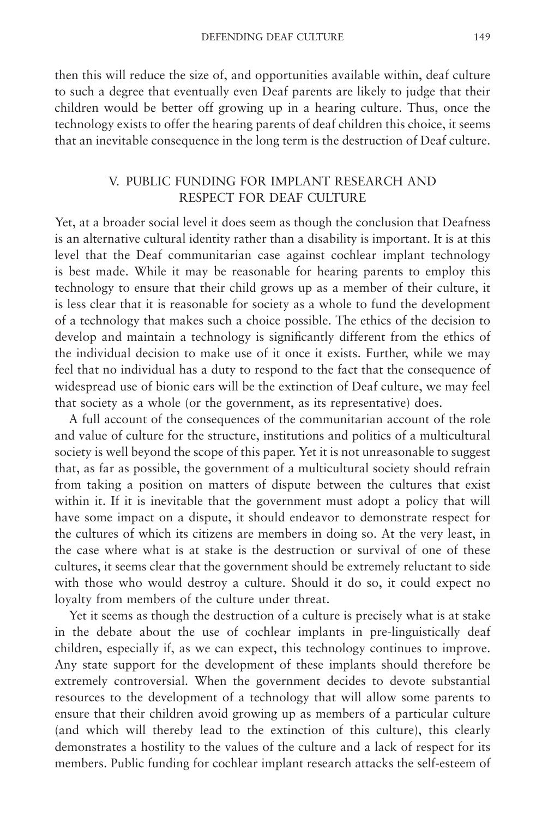then this will reduce the size of, and opportunities available within, deaf culture to such a degree that eventually even Deaf parents are likely to judge that their children would be better off growing up in a hearing culture. Thus, once the technology exists to offer the hearing parents of deaf children this choice, it seems that an inevitable consequence in the long term is the destruction of Deaf culture.

## V. PUBLIC FUNDING FOR IMPLANT RESEARCH AND RESPECT FOR DEAF CULTURE

Yet, at a broader social level it does seem as though the conclusion that Deafness is an alternative cultural identity rather than a disability is important. It is at this level that the Deaf communitarian case against cochlear implant technology is best made. While it may be reasonable for hearing parents to employ this technology to ensure that their child grows up as a member of their culture, it is less clear that it is reasonable for society as a whole to fund the development of a technology that makes such a choice possible. The ethics of the decision to develop and maintain a technology is significantly different from the ethics of the individual decision to make use of it once it exists. Further, while we may feel that no individual has a duty to respond to the fact that the consequence of widespread use of bionic ears will be the extinction of Deaf culture, we may feel that society as a whole (or the government, as its representative) does.

A full account of the consequences of the communitarian account of the role and value of culture for the structure, institutions and politics of a multicultural society is well beyond the scope of this paper. Yet it is not unreasonable to suggest that, as far as possible, the government of a multicultural society should refrain from taking a position on matters of dispute between the cultures that exist within it. If it is inevitable that the government must adopt a policy that will have some impact on a dispute, it should endeavor to demonstrate respect for the cultures of which its citizens are members in doing so. At the very least, in the case where what is at stake is the destruction or survival of one of these cultures, it seems clear that the government should be extremely reluctant to side with those who would destroy a culture. Should it do so, it could expect no loyalty from members of the culture under threat.

Yet it seems as though the destruction of a culture is precisely what is at stake in the debate about the use of cochlear implants in pre-linguistically deaf children, especially if, as we can expect, this technology continues to improve. Any state support for the development of these implants should therefore be extremely controversial. When the government decides to devote substantial resources to the development of a technology that will allow some parents to ensure that their children avoid growing up as members of a particular culture (and which will thereby lead to the extinction of this culture), this clearly demonstrates a hostility to the values of the culture and a lack of respect for its members. Public funding for cochlear implant research attacks the self-esteem of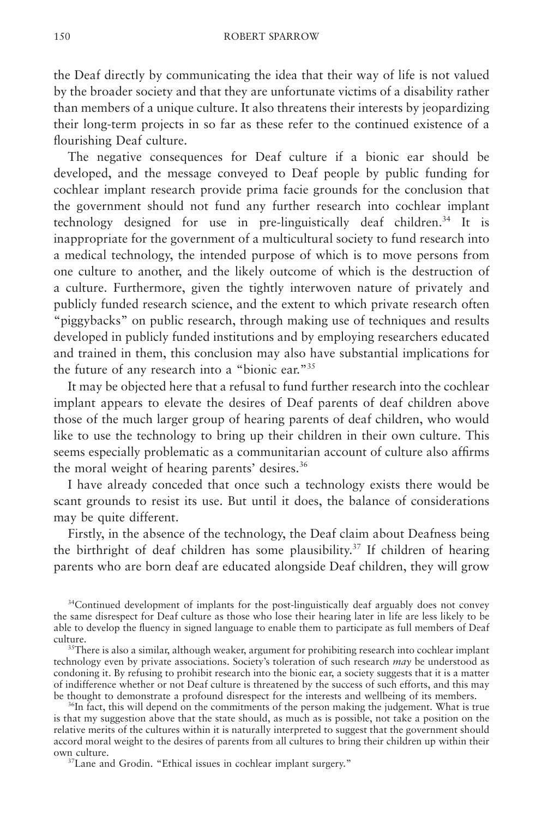the Deaf directly by communicating the idea that their way of life is not valued by the broader society and that they are unfortunate victims of a disability rather than members of a unique culture. It also threatens their interests by jeopardizing their long-term projects in so far as these refer to the continued existence of a flourishing Deaf culture.

The negative consequences for Deaf culture if a bionic ear should be developed, and the message conveyed to Deaf people by public funding for cochlear implant research provide prima facie grounds for the conclusion that the government should not fund any further research into cochlear implant technology designed for use in pre-linguistically deaf children.<sup>34</sup> It is inappropriate for the government of a multicultural society to fund research into a medical technology, the intended purpose of which is to move persons from one culture to another, and the likely outcome of which is the destruction of a culture. Furthermore, given the tightly interwoven nature of privately and publicly funded research science, and the extent to which private research often "piggybacks" on public research, through making use of techniques and results developed in publicly funded institutions and by employing researchers educated and trained in them, this conclusion may also have substantial implications for the future of any research into a "bionic ear."35

It may be objected here that a refusal to fund further research into the cochlear implant appears to elevate the desires of Deaf parents of deaf children above those of the much larger group of hearing parents of deaf children, who would like to use the technology to bring up their children in their own culture. This seems especially problematic as a communitarian account of culture also affirms the moral weight of hearing parents' desires.<sup>36</sup>

I have already conceded that once such a technology exists there would be scant grounds to resist its use. But until it does, the balance of considerations may be quite different.

Firstly, in the absence of the technology, the Deaf claim about Deafness being the birthright of deaf children has some plausibility.<sup>37</sup> If children of hearing parents who are born deaf are educated alongside Deaf children, they will grow

<sup>34</sup>Continued development of implants for the post-linguistically deaf arguably does not convey the same disrespect for Deaf culture as those who lose their hearing later in life are less likely to be able to develop the fluency in signed language to enable them to participate as full members of Deaf culture.

 $35$ There is also a similar, although weaker, argument for prohibiting research into cochlear implant technology even by private associations. Society's toleration of such research *may* be understood as condoning it. By refusing to prohibit research into the bionic ear, a society suggests that it is a matter of indifference whether or not Deaf culture is threatened by the success of such efforts, and this may be thought to demonstrate a profound disrespect for the interests and wellbeing of its members.

 $36$ In fact, this will depend on the commitments of the person making the judgement. What is true is that my suggestion above that the state should, as much as is possible, not take a position on the relative merits of the cultures within it is naturally interpreted to suggest that the government should accord moral weight to the desires of parents from all cultures to bring their children up within their own culture.

37Lane and Grodin. "Ethical issues in cochlear implant surgery."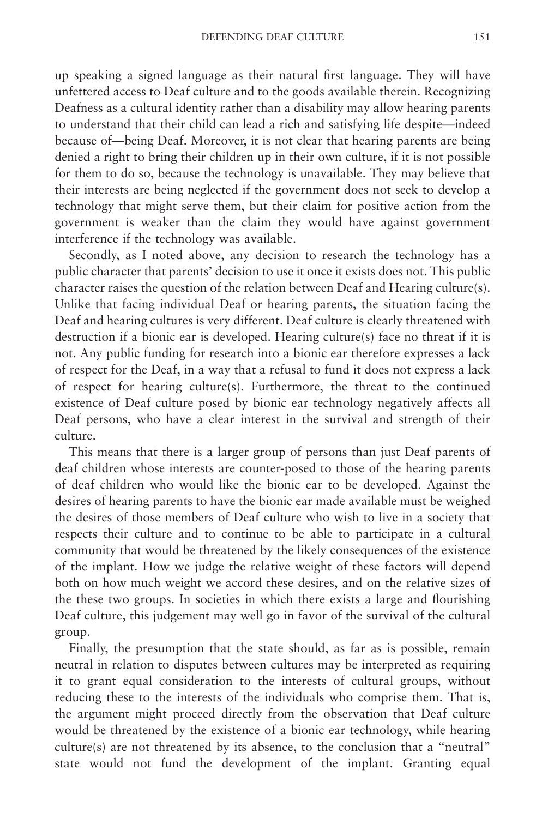up speaking a signed language as their natural first language. They will have unfettered access to Deaf culture and to the goods available therein. Recognizing Deafness as a cultural identity rather than a disability may allow hearing parents to understand that their child can lead a rich and satisfying life despite—indeed because of—being Deaf. Moreover, it is not clear that hearing parents are being denied a right to bring their children up in their own culture, if it is not possible for them to do so, because the technology is unavailable. They may believe that their interests are being neglected if the government does not seek to develop a technology that might serve them, but their claim for positive action from the government is weaker than the claim they would have against government interference if the technology was available.

Secondly, as I noted above, any decision to research the technology has a public character that parents' decision to use it once it exists does not. This public character raises the question of the relation between Deaf and Hearing culture(s). Unlike that facing individual Deaf or hearing parents, the situation facing the Deaf and hearing cultures is very different. Deaf culture is clearly threatened with destruction if a bionic ear is developed. Hearing culture(s) face no threat if it is not. Any public funding for research into a bionic ear therefore expresses a lack of respect for the Deaf, in a way that a refusal to fund it does not express a lack of respect for hearing culture(s). Furthermore, the threat to the continued existence of Deaf culture posed by bionic ear technology negatively affects all Deaf persons, who have a clear interest in the survival and strength of their culture.

This means that there is a larger group of persons than just Deaf parents of deaf children whose interests are counter-posed to those of the hearing parents of deaf children who would like the bionic ear to be developed. Against the desires of hearing parents to have the bionic ear made available must be weighed the desires of those members of Deaf culture who wish to live in a society that respects their culture and to continue to be able to participate in a cultural community that would be threatened by the likely consequences of the existence of the implant. How we judge the relative weight of these factors will depend both on how much weight we accord these desires, and on the relative sizes of the these two groups. In societies in which there exists a large and flourishing Deaf culture, this judgement may well go in favor of the survival of the cultural group.

Finally, the presumption that the state should, as far as is possible, remain neutral in relation to disputes between cultures may be interpreted as requiring it to grant equal consideration to the interests of cultural groups, without reducing these to the interests of the individuals who comprise them. That is, the argument might proceed directly from the observation that Deaf culture would be threatened by the existence of a bionic ear technology, while hearing culture(s) are not threatened by its absence, to the conclusion that a "neutral" state would not fund the development of the implant. Granting equal